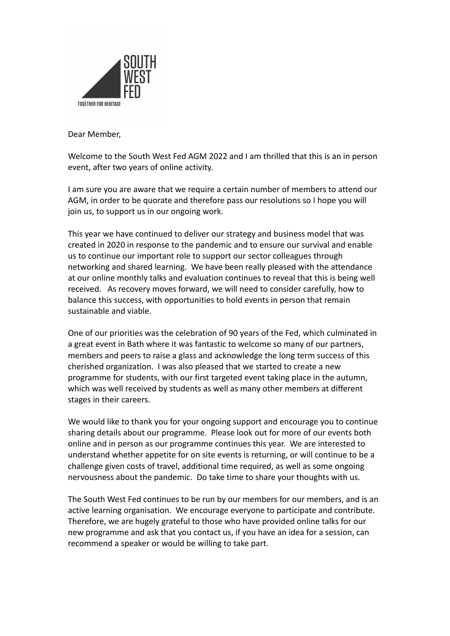

Dear Member,

Welcome to the South West Fed AGM 2022 and I am thrilled that this is an in person event, after two years of online activity.

I am sure you are aware that we require a certain number of members to attend our AGM, in order to be quorate and therefore pass our resolutions so I hope you will join us, to support us in our ongoing work.

This year we have continued to deliver our strategy and business model that was created in 2020 in response to the pandemic and to ensure our survival and enable us to continue our important role to support our sector colleagues through networking and shared learning. We have been really pleased with the attendance at our online monthly talks and evaluation continues to reveal that this is being well received. As recovery moves forward, we will need to consider carefully, how to balance this success, with opportunities to hold events in person that remain sustainable and viable.

One of our priorities was the celebration of 90 years of the Fed, which culminated in a great event in Bath where it was fantastic to welcome so many of our partners, members and peers to raise a glass and acknowledge the long term success of this cherished organization. I was also pleased that we started to create a new programme for students, with our first targeted event taking place in the autumn, which was well received by students as well as many other members at different stages in their careers.

We would like to thank you for your ongoing support and encourage you to continue sharing details about our programme. Please look out for more of our events both online and in person as our programme continues this year. We are interested to understand whether appetite for on site events is returning, or will continue to be a challenge given costs of travel, additional time required, as well as some ongoing nervousness about the pandemic. Do take time to share your thoughts with us.

The South West Fed continues to be run by our members for our members, and is an active learning organisation. We encourage everyone to participate and contribute. Therefore, we are hugely grateful to those who have provided online talks for our new programme and ask that you contact us, if you have an idea for a session, can recommend a speaker or would be willing to take part.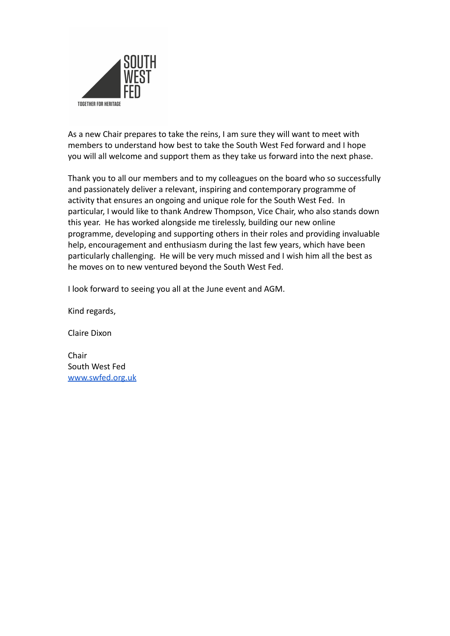

As a new Chair prepares to take the reins, I am sure they will want to meet with members to understand how best to take the South West Fed forward and I hope you will all welcome and support them as they take us forward into the next phase.

Thank you to all our members and to my colleagues on the board who so successfully and passionately deliver a relevant, inspiring and contemporary programme of activity that ensures an ongoing and unique role for the South West Fed. In particular, I would like to thank Andrew Thompson, Vice Chair, who also stands down this year. He has worked alongside me tirelessly, building our new online programme, developing and supporting others in their roles and providing invaluable help, encouragement and enthusiasm during the last few years, which have been particularly challenging. He will be very much missed and I wish him all the best as he moves on to new ventured beyond the South West Fed.

I look forward to seeing you all at the June event and AGM.

Kind regards,

Claire Dixon

Chair South West Fed [www.swfed.org.uk](http://www.swfed.org.uk)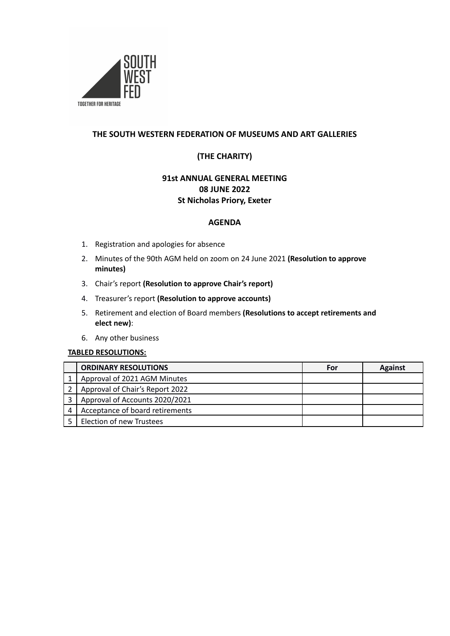

### **THE SOUTH WESTERN FEDERATION OF MUSEUMS AND ART GALLERIES**

## **(THE CHARITY)**

## **91st ANNUAL GENERAL MEETING 08 JUNE 2022 St Nicholas Priory, Exeter**

#### **AGENDA**

- 1. Registration and apologies for absence
- 2. Minutes of the 90th AGM held on zoom on 24 June 2021 **(Resolution to approve minutes)**
- 3. Chair's report **(Resolution to approve Chair's report)**
- 4. Treasurer's report **(Resolution to approve accounts)**
- 5. Retirement and election of Board members **(Resolutions to accept retirements and elect new)**:
- 6. Any other business

#### **TABLED RESOLUTIONS:**

| <b>ORDINARY RESOLUTIONS</b>     | For | <b>Against</b> |
|---------------------------------|-----|----------------|
| Approval of 2021 AGM Minutes    |     |                |
| Approval of Chair's Report 2022 |     |                |
| Approval of Accounts 2020/2021  |     |                |
| Acceptance of board retirements |     |                |
| Election of new Trustees        |     |                |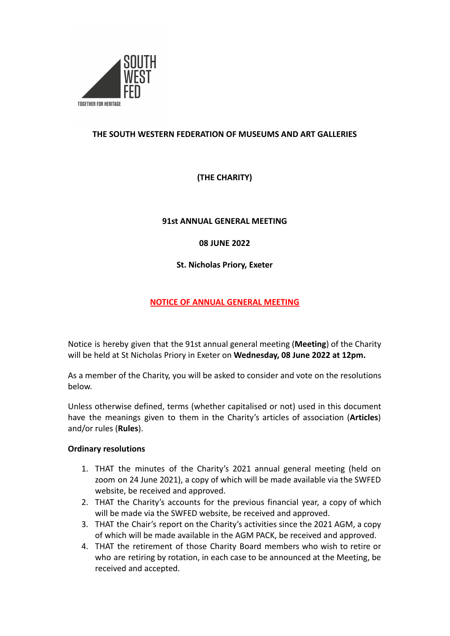

## **THE SOUTH WESTERN FEDERATION OF MUSEUMS AND ART GALLERIES**

**(THE CHARITY)**

### **91st ANNUAL GENERAL MEETING**

### **08 JUNE 2022**

**St. Nicholas Priory, Exeter**

## **NOTICE OF ANNUAL GENERAL MEETING**

Notice is hereby given that the 91st annual general meeting (**Meeting**) of the Charity will be held at St Nicholas Priory in Exeter on **Wednesday, 08 June 2022 at 12pm.**

As a member of the Charity, you will be asked to consider and vote on the resolutions below.

Unless otherwise defined, terms (whether capitalised or not) used in this document have the meanings given to them in the Charity's articles of association (**Articles**) and/or rules (**Rules**).

#### **Ordinary resolutions**

- 1. THAT the minutes of the Charity's 2021 annual general meeting (held on zoom on 24 June 2021), a copy of which will be made available via the SWFED website, be received and approved.
- 2. THAT the Charity's accounts for the previous financial year, a copy of which will be made via the SWFED website, be received and approved.
- 3. THAT the Chair's report on the Charity's activities since the 2021 AGM, a copy of which will be made available in the AGM PACK, be received and approved.
- 4. THAT the retirement of those Charity Board members who wish to retire or who are retiring by rotation, in each case to be announced at the Meeting, be received and accepted.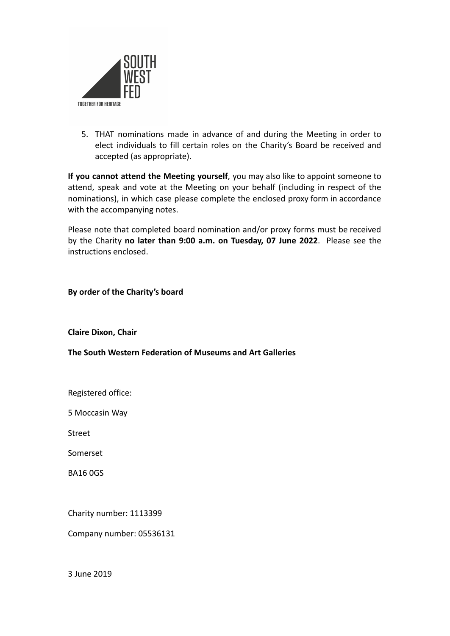

5. THAT nominations made in advance of and during the Meeting in order to elect individuals to fill certain roles on the Charity's Board be received and accepted (as appropriate).

**If you cannot attend the Meeting yourself**, you may also like to appoint someone to attend, speak and vote at the Meeting on your behalf (including in respect of the nominations), in which case please complete the enclosed proxy form in accordance with the accompanying notes.

Please note that completed board nomination and/or proxy forms must be received by the Charity **no later than 9:00 a.m. on Tuesday, 07 June 2022**. Please see the instructions enclosed.

**By order of the Charity's board**

**Claire Dixon, Chair**

**The South Western Federation of Museums and Art Galleries**

Registered office:

5 Moccasin Way

Street

Somerset

BA16 0GS

Charity number: 1113399

Company number: 05536131

3 June 2019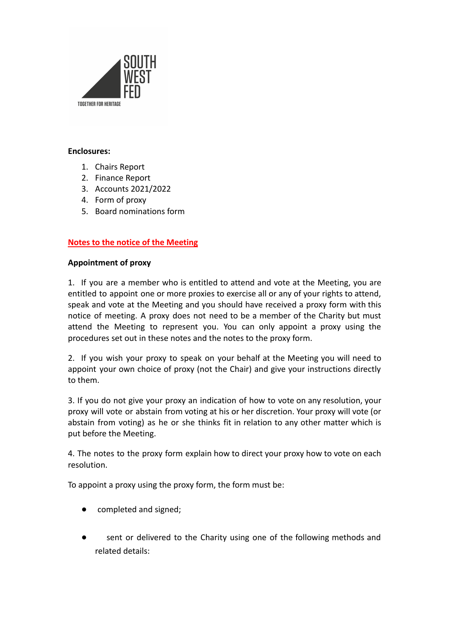

#### **Enclosures:**

- 1. Chairs Report
- 2. Finance Report
- 3. Accounts 2021/2022
- 4. Form of proxy
- 5. Board nominations form

### **Notes to the notice of the Meeting**

#### **Appointment of proxy**

1. If you are a member who is entitled to attend and vote at the Meeting, you are entitled to appoint one or more proxies to exercise all or any of your rights to attend, speak and vote at the Meeting and you should have received a proxy form with this notice of meeting. A proxy does not need to be a member of the Charity but must attend the Meeting to represent you. You can only appoint a proxy using the procedures set out in these notes and the notes to the proxy form.

2. If you wish your proxy to speak on your behalf at the Meeting you will need to appoint your own choice of proxy (not the Chair) and give your instructions directly to them.

3. If you do not give your proxy an indication of how to vote on any resolution, your proxy will vote or abstain from voting at his or her discretion. Your proxy will vote (or abstain from voting) as he or she thinks fit in relation to any other matter which is put before the Meeting.

4. The notes to the proxy form explain how to direct your proxy how to vote on each resolution.

To appoint a proxy using the proxy form, the form must be:

- completed and signed;
- sent or delivered to the Charity using one of the following methods and related details: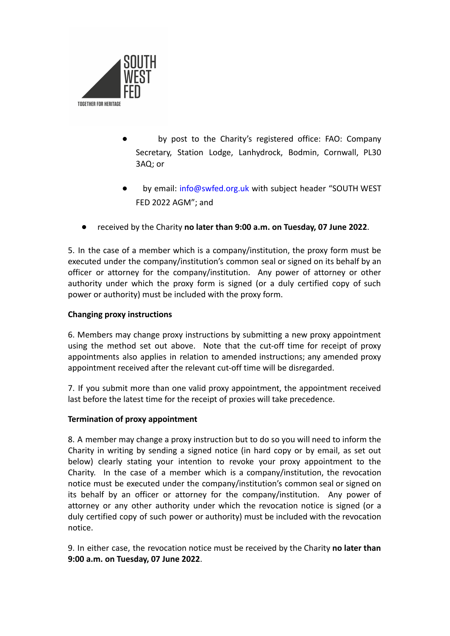

- by post to the Charity's registered office: FAO: Company Secretary, Station Lodge, Lanhydrock, Bodmin, Cornwall, PL30 3AQ; or
- by email: info@swfed.org.uk with subject header "SOUTH WEST FED 2022 AGM"; and
- received by the Charity **no later than 9:00 a.m. on Tuesday, 07 June 2022**.

5. In the case of a member which is a company/institution, the proxy form must be executed under the company/institution's common seal or signed on its behalf by an officer or attorney for the company/institution. Any power of attorney or other authority under which the proxy form is signed (or a duly certified copy of such power or authority) must be included with the proxy form.

## **Changing proxy instructions**

6. Members may change proxy instructions by submitting a new proxy appointment using the method set out above. Note that the cut-off time for receipt of proxy appointments also applies in relation to amended instructions; any amended proxy appointment received after the relevant cut-off time will be disregarded.

7. If you submit more than one valid proxy appointment, the appointment received last before the latest time for the receipt of proxies will take precedence.

#### **Termination of proxy appointment**

8. A member may change a proxy instruction but to do so you will need to inform the Charity in writing by sending a signed notice (in hard copy or by email, as set out below) clearly stating your intention to revoke your proxy appointment to the Charity. In the case of a member which is a company/institution, the revocation notice must be executed under the company/institution's common seal or signed on its behalf by an officer or attorney for the company/institution. Any power of attorney or any other authority under which the revocation notice is signed (or a duly certified copy of such power or authority) must be included with the revocation notice.

9. In either case, the revocation notice must be received by the Charity **no later than 9:00 a.m. on Tuesday, 07 June 2022**.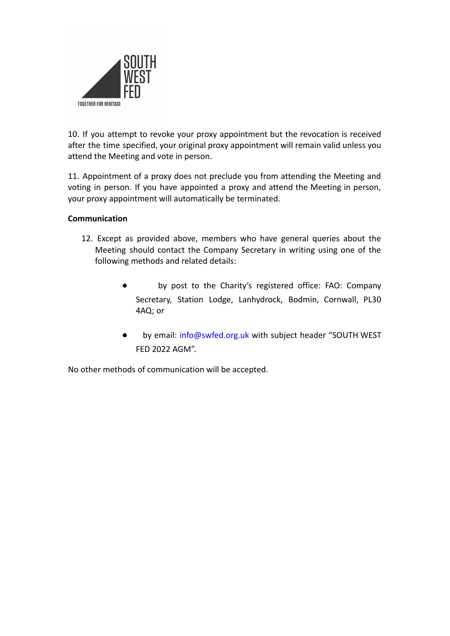

10. If you attempt to revoke your proxy appointment but the revocation is received after the time specified, your original proxy appointment will remain valid unless you attend the Meeting and vote in person.

11. Appointment of a proxy does not preclude you from attending the Meeting and voting in person. If you have appointed a proxy and attend the Meeting in person, your proxy appointment will automatically be terminated.

### **Communication**

- 12. Except as provided above, members who have general queries about the Meeting should contact the Company Secretary in writing using one of the following methods and related details:
	- by post to the Charity's registered office: FAO: Company Secretary, Station Lodge, Lanhydrock, Bodmin, Cornwall, PL30 4AQ; or
	- by email: info@swfed.org.uk with subject header "SOUTH WEST FED 2022 AGM".

No other methods of communication will be accepted.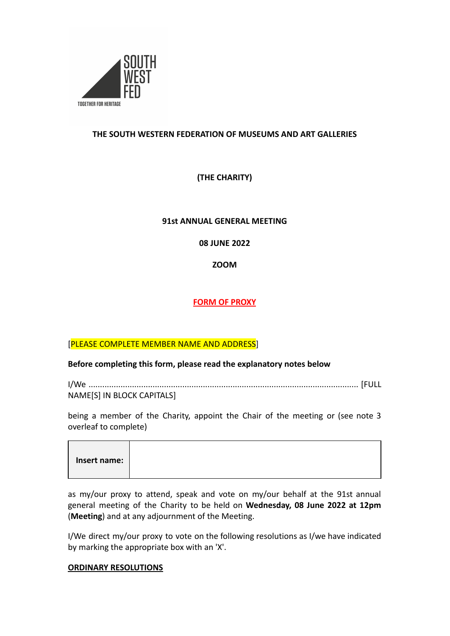

## **THE SOUTH WESTERN FEDERATION OF MUSEUMS AND ART GALLERIES**

# **(THE CHARITY)**

#### **91st ANNUAL GENERAL MEETING**

**08 JUNE 2022**

**ZOOM**

# **FORM OF PROXY**

## [PLEASE COMPLETE MEMBER NAME AND ADDRESS]

#### **Before completing this form, please read the explanatory notes below**

I/We ...................................................................................................................... [FULL NAME[S] IN BLOCK CAPITALS]

being a member of the Charity, appoint the Chair of the meeting or (see note 3 overleaf to complete)

| Insert name: I |  |  |  |
|----------------|--|--|--|
|----------------|--|--|--|

as my/our proxy to attend, speak and vote on my/our behalf at the 91st annual general meeting of the Charity to be held on **Wednesday, 08 June 2022 at 12pm** (**Meeting**) and at any adjournment of the Meeting.

I/We direct my/our proxy to vote on the following resolutions as I/we have indicated by marking the appropriate box with an 'X'.

#### **ORDINARY RESOLUTIONS**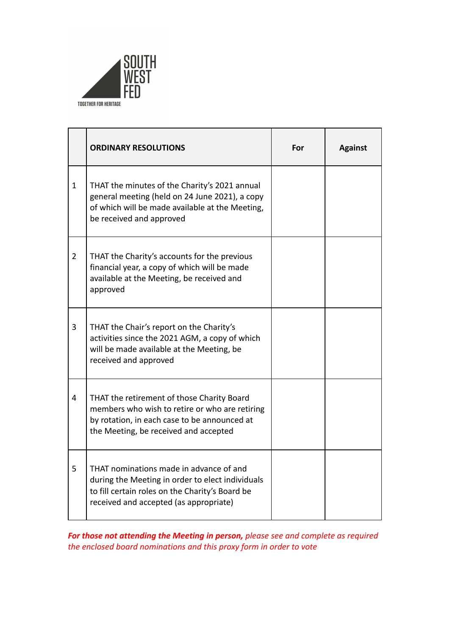

|                | <b>ORDINARY RESOLUTIONS</b>                                                                                                                                                              | For | <b>Against</b> |
|----------------|------------------------------------------------------------------------------------------------------------------------------------------------------------------------------------------|-----|----------------|
| 1              | THAT the minutes of the Charity's 2021 annual<br>general meeting (held on 24 June 2021), a copy<br>of which will be made available at the Meeting,<br>be received and approved           |     |                |
| $\overline{2}$ | THAT the Charity's accounts for the previous<br>financial year, a copy of which will be made<br>available at the Meeting, be received and<br>approved                                    |     |                |
| 3              | THAT the Chair's report on the Charity's<br>activities since the 2021 AGM, a copy of which<br>will be made available at the Meeting, be<br>received and approved                         |     |                |
| 4              | THAT the retirement of those Charity Board<br>members who wish to retire or who are retiring<br>by rotation, in each case to be announced at<br>the Meeting, be received and accepted    |     |                |
| 5              | THAT nominations made in advance of and<br>during the Meeting in order to elect individuals<br>to fill certain roles on the Charity's Board be<br>received and accepted (as appropriate) |     |                |

*For those not attending the Meeting in person, please see and complete as required the enclosed board nominations and this proxy form in order to vote*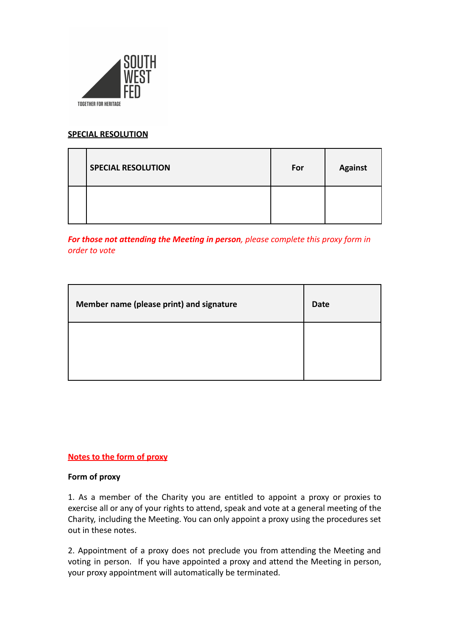

## **SPECIAL RESOLUTION**

| <b>SPECIAL RESOLUTION</b> | For | <b>Against</b> |
|---------------------------|-----|----------------|
|                           |     |                |

*For those not attending the Meeting in person, please complete this proxy form in order to vote*

| Member name (please print) and signature | <b>Date</b> |
|------------------------------------------|-------------|
|                                          |             |

## **Notes to the form of proxy**

#### **Form of proxy**

1. As a member of the Charity you are entitled to appoint a proxy or proxies to exercise all or any of your rights to attend, speak and vote at a general meeting of the Charity, including the Meeting. You can only appoint a proxy using the procedures set out in these notes.

2. Appointment of a proxy does not preclude you from attending the Meeting and voting in person. If you have appointed a proxy and attend the Meeting in person, your proxy appointment will automatically be terminated.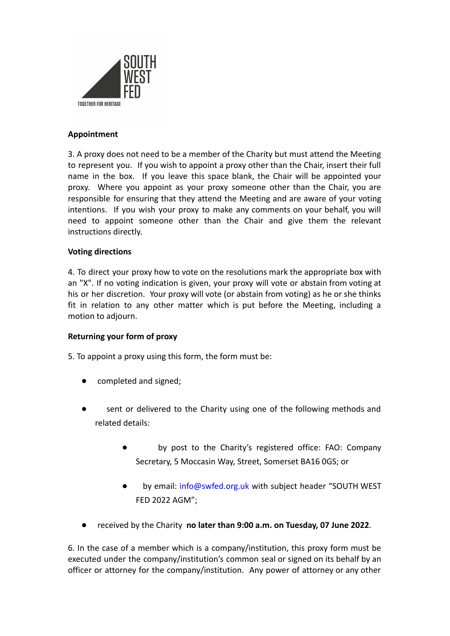

## **Appointment**

3. A proxy does not need to be a member of the Charity but must attend the Meeting to represent you. If you wish to appoint a proxy other than the Chair, insert their full name in the box. If you leave this space blank, the Chair will be appointed your proxy. Where you appoint as your proxy someone other than the Chair, you are responsible for ensuring that they attend the Meeting and are aware of your voting intentions. If you wish your proxy to make any comments on your behalf, you will need to appoint someone other than the Chair and give them the relevant instructions directly.

#### **Voting directions**

4. To direct your proxy how to vote on the resolutions mark the appropriate box with an "X". If no voting indication is given, your proxy will vote or abstain from voting at his or her discretion. Your proxy will vote (or abstain from voting) as he or she thinks fit in relation to any other matter which is put before the Meeting, including a motion to adjourn.

#### **Returning your form of proxy**

- 5. To appoint a proxy using this form, the form must be:
	- completed and signed;
	- sent or delivered to the Charity using one of the following methods and related details:
		- by post to the Charity's registered office: FAO: Company Secretary, 5 Moccasin Way, Street, Somerset BA16 0GS; or
		- by email: info@swfed.org.uk with subject header "SOUTH WEST FED 2022 AGM";
	- received by the Charity no later than 9:00 a.m. on Tuesday, 07 June 2022.

6. In the case of a member which is a company/institution, this proxy form must be executed under the company/institution's common seal or signed on its behalf by an officer or attorney for the company/institution. Any power of attorney or any other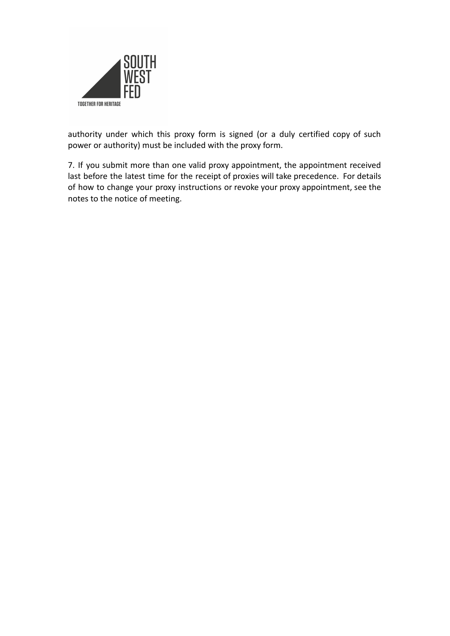

authority under which this proxy form is signed (or a duly certified copy of such power or authority) must be included with the proxy form.

7. If you submit more than one valid proxy appointment, the appointment received last before the latest time for the receipt of proxies will take precedence. For details of how to change your proxy instructions or revoke your proxy appointment, see the notes to the notice of meeting.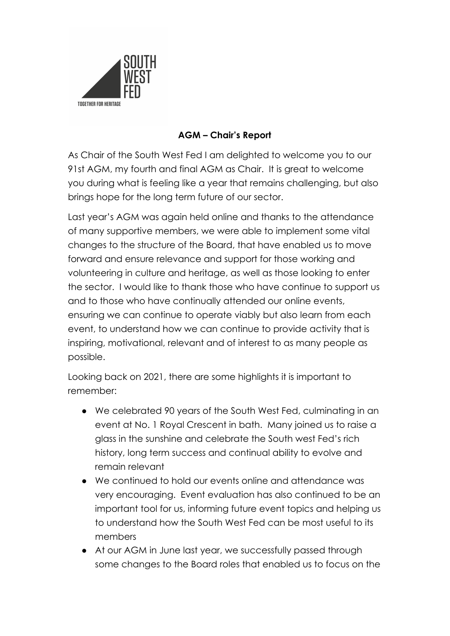

# **AGM – Chair's Report**

As Chair of the South West Fed I am delighted to welcome you to our 91st AGM, my fourth and final AGM as Chair. It is great to welcome you during what is feeling like a year that remains challenging, but also brings hope for the long term future of our sector.

Last year's AGM was again held online and thanks to the attendance of many supportive members, we were able to implement some vital changes to the structure of the Board, that have enabled us to move forward and ensure relevance and support for those working and volunteering in culture and heritage, as well as those looking to enter the sector. I would like to thank those who have continue to support us and to those who have continually attended our online events, ensuring we can continue to operate viably but also learn from each event, to understand how we can continue to provide activity that is inspiring, motivational, relevant and of interest to as many people as possible.

Looking back on 2021, there are some highlights it is important to remember:

- We celebrated 90 years of the South West Fed, culminating in an event at No. 1 Royal Crescent in bath. Many joined us to raise a glass in the sunshine and celebrate the South west Fed's rich history, long term success and continual ability to evolve and remain relevant
- We continued to hold our events online and attendance was very encouraging. Event evaluation has also continued to be an important tool for us, informing future event topics and helping us to understand how the South West Fed can be most useful to its members
- At our AGM in June last year, we successfully passed through some changes to the Board roles that enabled us to focus on the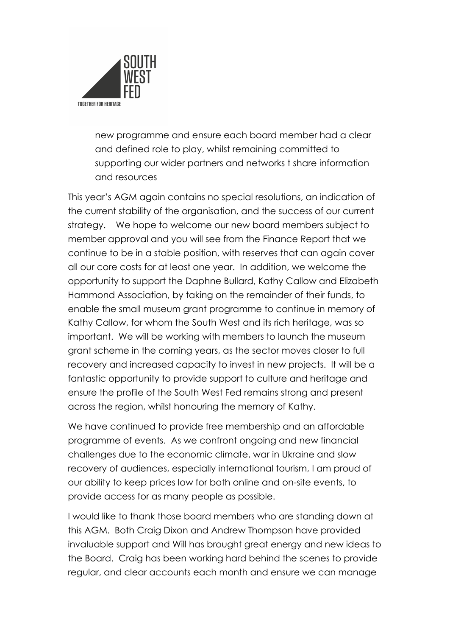

new programme and ensure each board member had a clear and defined role to play, whilst remaining committed to supporting our wider partners and networks t share information and resources

This year's AGM again contains no special resolutions, an indication of the current stability of the organisation, and the success of our current strategy. We hope to welcome our new board members subject to member approval and you will see from the Finance Report that we continue to be in a stable position, with reserves that can again cover all our core costs for at least one year. In addition, we welcome the opportunity to support the Daphne Bullard, Kathy Callow and Elizabeth Hammond Association, by taking on the remainder of their funds, to enable the small museum grant programme to continue in memory of Kathy Callow, for whom the South West and its rich heritage, was so important. We will be working with members to launch the museum grant scheme in the coming years, as the sector moves closer to full recovery and increased capacity to invest in new projects. It will be a fantastic opportunity to provide support to culture and heritage and ensure the profile of the South West Fed remains strong and present across the region, whilst honouring the memory of Kathy.

We have continued to provide free membership and an affordable programme of events. As we confront ongoing and new financial challenges due to the economic climate, war in Ukraine and slow recovery of audiences, especially international tourism, I am proud of our ability to keep prices low for both online and on-site events, to provide access for as many people as possible.

I would like to thank those board members who are standing down at this AGM. Both Craig Dixon and Andrew Thompson have provided invaluable support and Will has brought great energy and new ideas to the Board. Craig has been working hard behind the scenes to provide regular, and clear accounts each month and ensure we can manage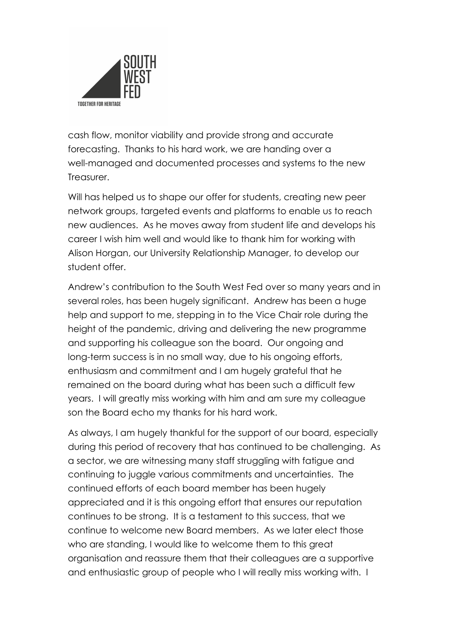

cash flow, monitor viability and provide strong and accurate forecasting. Thanks to his hard work, we are handing over a well-managed and documented processes and systems to the new Treasurer.

Will has helped us to shape our offer for students, creating new peer network groups, targeted events and platforms to enable us to reach new audiences. As he moves away from student life and develops his career I wish him well and would like to thank him for working with Alison Horgan, our University Relationship Manager, to develop our student offer.

Andrew's contribution to the South West Fed over so many years and in several roles, has been hugely significant. Andrew has been a huge help and support to me, stepping in to the Vice Chair role during the height of the pandemic, driving and delivering the new programme and supporting his colleague son the board. Our ongoing and long-term success is in no small way, due to his ongoing efforts, enthusiasm and commitment and I am hugely grateful that he remained on the board during what has been such a difficult few years. I will greatly miss working with him and am sure my colleague son the Board echo my thanks for his hard work.

As always, I am hugely thankful for the support of our board, especially during this period of recovery that has continued to be challenging. As a sector, we are witnessing many staff struggling with fatigue and continuing to juggle various commitments and uncertainties. The continued efforts of each board member has been hugely appreciated and it is this ongoing effort that ensures our reputation continues to be strong. It is a testament to this success, that we continue to welcome new Board members. As we later elect those who are standing, I would like to welcome them to this great organisation and reassure them that their colleagues are a supportive and enthusiastic group of people who I will really miss working with. I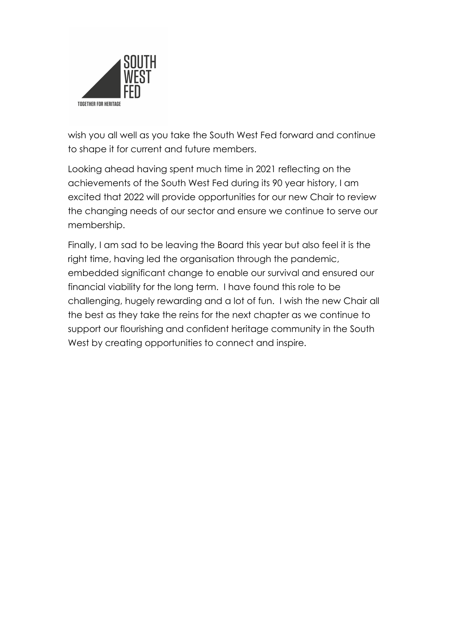

wish you all well as you take the South West Fed forward and continue to shape it for current and future members.

Looking ahead having spent much time in 2021 reflecting on the achievements of the South West Fed during its 90 year history, I am excited that 2022 will provide opportunities for our new Chair to review the changing needs of our sector and ensure we continue to serve our membership.

Finally, I am sad to be leaving the Board this year but also feel it is the right time, having led the organisation through the pandemic, embedded significant change to enable our survival and ensured our financial viability for the long term. I have found this role to be challenging, hugely rewarding and a lot of fun. I wish the new Chair all the best as they take the reins for the next chapter as we continue to support our flourishing and confident heritage community in the South West by creating opportunities to connect and inspire.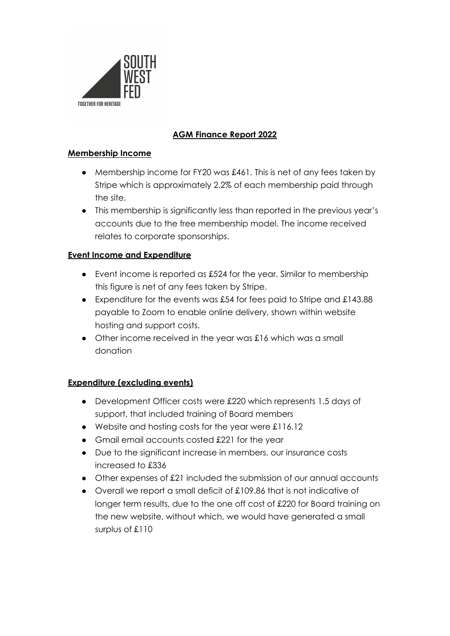

# **AGM Finance Report 2022**

## **Membership Income**

- Membership income for FY20 was £461. This is net of any fees taken by Stripe which is approximately 2.2% of each membership paid through the site.
- This membership is significantly less than reported in the previous year's accounts due to the free membership model. The income received relates to corporate sponsorships.

# **Event Income and Expenditure**

- Event income is reported as £524 for the year. Similar to membership this figure is net of any fees taken by Stripe.
- Expenditure for the events was £54 for fees paid to Stripe and £143.88 payable to Zoom to enable online delivery, shown within website hosting and support costs.
- Other income received in the year was £16 which was a small donation

# **Expenditure (excluding events)**

- Development Officer costs were £220 which represents 1.5 days of support, that included training of Board members
- Website and hosting costs for the year were £116.12
- Gmail email accounts costed £221 for the year
- Due to the significant increase in members, our insurance costs increased to £336
- Other expenses of £21 included the submission of our annual accounts
- Overall we report a small deficit of £109.86 that is not indicative of longer term results, due to the one off cost of £220 for Board training on the new website, without which, we would have generated a small surplus of £110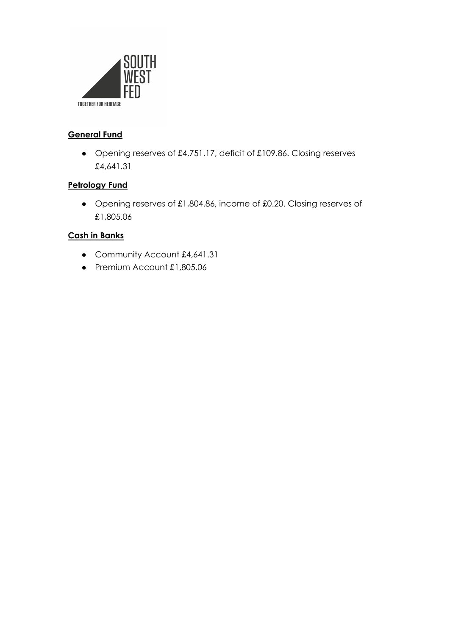

# **General Fund**

● Opening reserves of £4,751.17, deficit of £109.86. Closing reserves £4,641.31

# **Petrology Fund**

● Opening reserves of £1,804.86, income of £0.20. Closing reserves of £1,805.06

# **Cash in Banks**

- Community Account £4,641.31
- Premium Account £1,805.06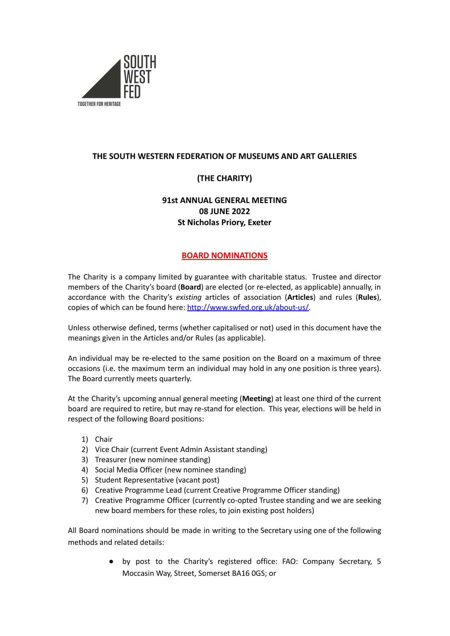

## **THE SOUTH WESTERN FEDERATION OF MUSEUMS AND ART GALLERIES**

# **(THE CHARITY)**

# **91st ANNUAL GENERAL MEETING 08 JUNE 2022 St Nicholas Priory, Exeter**

### **BOARD NOMINATIONS**

The Charity is a company limited by guarantee with charitable status. Trustee and director members of the Charity's board (**Board**) are elected (or re-elected, as applicable) annually, in accordance with the Charity's *existing* articles of association (**Articles**) and rules (**Rules**), copies of which can be found here: [http://www.swfed.org.uk/about-us/.](http://www.swfed.org.uk/about-us/)

Unless otherwise defined, terms (whether capitalised or not) used in this document have the meanings given in the Articles and/or Rules (as applicable).

An individual may be re-elected to the same position on the Board on a maximum of three occasions (i.e. the maximum term an individual may hold in any one position is three years). The Board currently meets quarterly.

At the Charity's upcoming annual general meeting (**Meeting**) at least one third of the current board are required to retire, but may re-stand for election. This year, elections will be held in respect of the following Board positions:

- 1) Chair
- 2) Vice Chair (current Event Admin Assistant standing)
- 3) Treasurer (new nominee standing)
- 4) Social Media Officer (new nominee standing)
- 5) Student Representative (vacant post)
- 6) Creative Programme Lead (current Creative Programme Officer standing)
- 7) Creative Programme Officer (currently co-opted Trustee standing and we are seeking new board members for these roles, to join existing post holders)

All Board nominations should be made in writing to the Secretary using one of the following methods and related details:

> ● by post to the Charity's registered office: FAO: Company Secretary, 5 Moccasin Way, Street, Somerset BA16 0GS; or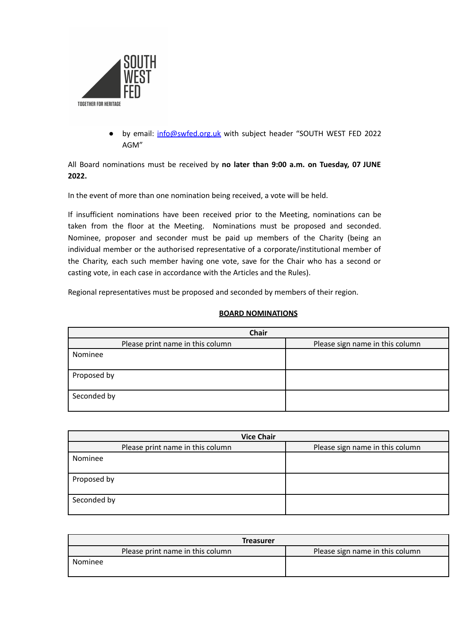

● by email: [info@swfed.org.uk](mailto:info@swfed.org.uk) with subject header "SOUTH WEST FED 2022 AGM"

All Board nominations must be received by **no later than 9:00 a.m. on Tuesday, 07 JUNE 2022.**

In the event of more than one nomination being received, a vote will be held.

If insufficient nominations have been received prior to the Meeting, nominations can be taken from the floor at the Meeting. Nominations must be proposed and seconded. Nominee, proposer and seconder must be paid up members of the Charity (being an individual member or the authorised representative of a corporate/institutional member of the Charity, each such member having one vote, save for the Chair who has a second or casting vote, in each case in accordance with the Articles and the Rules).

Regional representatives must be proposed and seconded by members of their region.

#### **BOARD NOMINATIONS**

| <b>Chair</b>                     |                                 |  |
|----------------------------------|---------------------------------|--|
| Please print name in this column | Please sign name in this column |  |
| Nominee                          |                                 |  |
|                                  |                                 |  |
| Proposed by                      |                                 |  |
|                                  |                                 |  |
| Seconded by                      |                                 |  |
|                                  |                                 |  |

| <b>Vice Chair</b>                |                                 |  |
|----------------------------------|---------------------------------|--|
| Please print name in this column | Please sign name in this column |  |
| Nominee                          |                                 |  |
| Proposed by                      |                                 |  |
| Seconded by                      |                                 |  |

| <b>Treasurer</b>                 |                                 |
|----------------------------------|---------------------------------|
| Please print name in this column | Please sign name in this column |
| Nominee                          |                                 |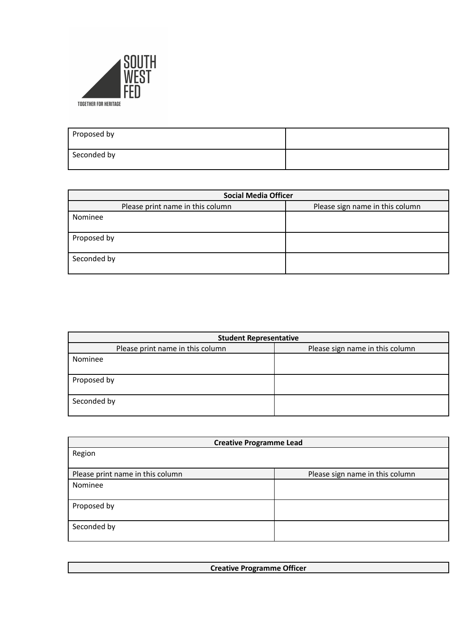

| Proposed by |  |
|-------------|--|
| Seconded by |  |

| <b>Social Media Officer</b>      |                                 |  |
|----------------------------------|---------------------------------|--|
| Please print name in this column | Please sign name in this column |  |
| Nominee                          |                                 |  |
|                                  |                                 |  |
| Proposed by                      |                                 |  |
| Seconded by                      |                                 |  |

| <b>Student Representative</b>    |                                 |  |
|----------------------------------|---------------------------------|--|
| Please print name in this column | Please sign name in this column |  |
| Nominee                          |                                 |  |
|                                  |                                 |  |
| Proposed by                      |                                 |  |
|                                  |                                 |  |
| Seconded by                      |                                 |  |
|                                  |                                 |  |

| <b>Creative Programme Lead</b>   |                                 |
|----------------------------------|---------------------------------|
| Region                           |                                 |
|                                  |                                 |
| Please print name in this column | Please sign name in this column |
| Nominee                          |                                 |
|                                  |                                 |
| Proposed by                      |                                 |
|                                  |                                 |
| Seconded by                      |                                 |
|                                  |                                 |

| <b>Creative Programme Officer</b> |  |
|-----------------------------------|--|
|                                   |  |